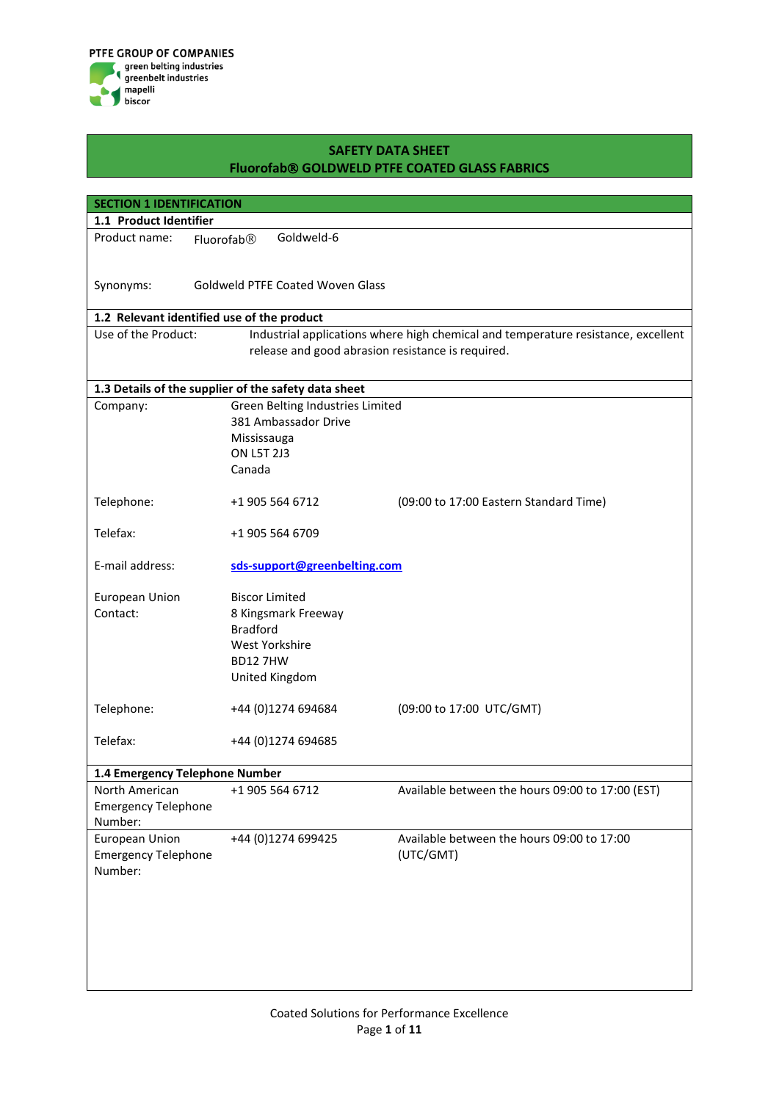

| <b>SECTION 1 IDENTIFICATION</b>            |                                                      |                                                                                   |  |  |  |
|--------------------------------------------|------------------------------------------------------|-----------------------------------------------------------------------------------|--|--|--|
| 1.1 Product Identifier                     |                                                      |                                                                                   |  |  |  |
| Product name:                              | Goldweld-6<br>Fluorofab <sup>®</sup>                 |                                                                                   |  |  |  |
|                                            |                                                      |                                                                                   |  |  |  |
|                                            | Goldweld PTFE Coated Woven Glass                     |                                                                                   |  |  |  |
| Synonyms:                                  |                                                      |                                                                                   |  |  |  |
| 1.2 Relevant identified use of the product |                                                      |                                                                                   |  |  |  |
| Use of the Product:                        |                                                      | Industrial applications where high chemical and temperature resistance, excellent |  |  |  |
|                                            | release and good abrasion resistance is required.    |                                                                                   |  |  |  |
|                                            |                                                      |                                                                                   |  |  |  |
|                                            | 1.3 Details of the supplier of the safety data sheet |                                                                                   |  |  |  |
| Company:                                   | Green Belting Industries Limited                     |                                                                                   |  |  |  |
|                                            | 381 Ambassador Drive                                 |                                                                                   |  |  |  |
|                                            | Mississauga                                          |                                                                                   |  |  |  |
|                                            | <b>ON L5T 2J3</b>                                    |                                                                                   |  |  |  |
|                                            | Canada                                               |                                                                                   |  |  |  |
|                                            |                                                      |                                                                                   |  |  |  |
| Telephone:                                 | +1 905 564 6712                                      | (09:00 to 17:00 Eastern Standard Time)                                            |  |  |  |
| Telefax:                                   | +1 905 564 6709                                      |                                                                                   |  |  |  |
|                                            |                                                      |                                                                                   |  |  |  |
| E-mail address:                            | sds-support@greenbelting.com                         |                                                                                   |  |  |  |
|                                            |                                                      |                                                                                   |  |  |  |
| European Union                             | <b>Biscor Limited</b>                                |                                                                                   |  |  |  |
| Contact:                                   | 8 Kingsmark Freeway                                  |                                                                                   |  |  |  |
|                                            | <b>Bradford</b>                                      |                                                                                   |  |  |  |
|                                            | West Yorkshire                                       |                                                                                   |  |  |  |
|                                            | <b>BD127HW</b>                                       |                                                                                   |  |  |  |
|                                            | United Kingdom                                       |                                                                                   |  |  |  |
|                                            |                                                      |                                                                                   |  |  |  |
| Telephone:                                 | +44 (0)1274 694684                                   | (09:00 to 17:00 UTC/GMT)                                                          |  |  |  |
| Telefax:                                   | +44 (0)1274 694685                                   |                                                                                   |  |  |  |
|                                            |                                                      |                                                                                   |  |  |  |
| 1.4 Emergency Telephone Number             |                                                      |                                                                                   |  |  |  |
| North American                             | +1 905 564 6712                                      | Available between the hours 09:00 to 17:00 (EST)                                  |  |  |  |
| <b>Emergency Telephone</b>                 |                                                      |                                                                                   |  |  |  |
| Number:                                    |                                                      |                                                                                   |  |  |  |
| European Union                             | +44 (0)1274 699425                                   | Available between the hours 09:00 to 17:00                                        |  |  |  |
| <b>Emergency Telephone</b>                 |                                                      | (UTC/GMT)                                                                         |  |  |  |
| Number:                                    |                                                      |                                                                                   |  |  |  |
|                                            |                                                      |                                                                                   |  |  |  |
|                                            |                                                      |                                                                                   |  |  |  |
|                                            |                                                      |                                                                                   |  |  |  |
|                                            |                                                      |                                                                                   |  |  |  |
|                                            |                                                      |                                                                                   |  |  |  |
|                                            |                                                      |                                                                                   |  |  |  |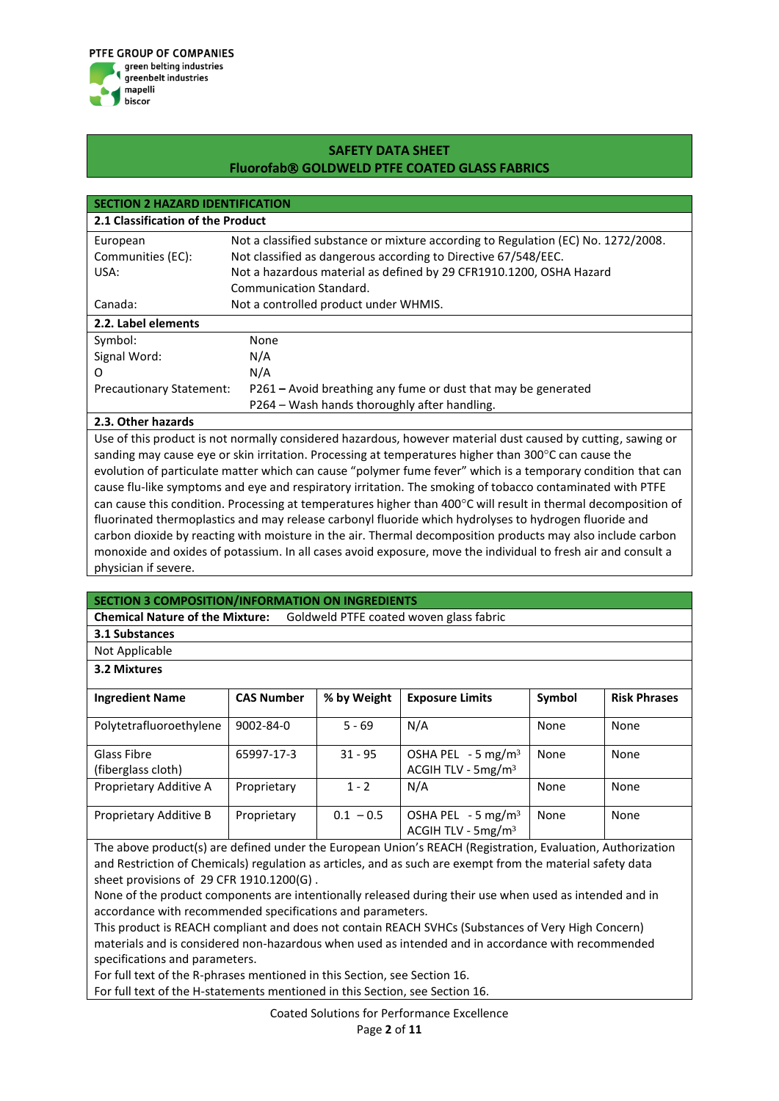

| <b>SECTION 2 HAZARD IDENTIFICATION</b> |                                                                                   |  |  |  |
|----------------------------------------|-----------------------------------------------------------------------------------|--|--|--|
| 2.1 Classification of the Product      |                                                                                   |  |  |  |
| European                               | Not a classified substance or mixture according to Regulation (EC) No. 1272/2008. |  |  |  |
| Communities (EC):                      | Not classified as dangerous according to Directive 67/548/EEC.                    |  |  |  |
| USA:                                   | Not a hazardous material as defined by 29 CFR1910.1200, OSHA Hazard               |  |  |  |
|                                        | Communication Standard.                                                           |  |  |  |
| Canada:                                | Not a controlled product under WHMIS.                                             |  |  |  |
| 2.2. Label elements                    |                                                                                   |  |  |  |
| Symbol:                                | None                                                                              |  |  |  |
| Signal Word:                           | N/A                                                                               |  |  |  |
| O                                      | N/A                                                                               |  |  |  |
| <b>Precautionary Statement:</b>        | P261 – Avoid breathing any fume or dust that may be generated                     |  |  |  |
|                                        | P264 - Wash hands thoroughly after handling.                                      |  |  |  |

#### **2.3. Other hazards**

Use of this product is not normally considered hazardous, however material dust caused by cutting, sawing or sanding may cause eye or skin irritation. Processing at temperatures higher than 300 $^{\circ}$ C can cause the evolution of particulate matter which can cause "polymer fume fever" which is a temporary condition that can cause flu-like symptoms and eye and respiratory irritation. The smoking of tobacco contaminated with PTFE can cause this condition. Processing at temperatures higher than 400°C will result in thermal decomposition of fluorinated thermoplastics and may release carbonyl fluoride which hydrolyses to hydrogen fluoride and carbon dioxide by reacting with moisture in the air. Thermal decomposition products may also include carbon monoxide and oxides of potassium. In all cases avoid exposure, move the individual to fresh air and consult a physician if severe.

#### **SECTION 3 COMPOSITION/INFORMATION ON INGREDIENTS**

**Chemical Nature of the Mixture:** Goldweld PTFE coated woven glass fabric

**3.1 Substances**

Not Applicable

#### **3.2 Mixtures**

| <b>Ingredient Name</b>            | <b>CAS Number</b> | % by Weight | <b>Exposure Limits</b>                                            | Symbol | <b>Risk Phrases</b> |
|-----------------------------------|-------------------|-------------|-------------------------------------------------------------------|--------|---------------------|
| Polytetrafluoroethylene           | 9002-84-0         | $5 - 69$    | N/A                                                               | None   | None                |
| Glass Fibre<br>(fiberglass cloth) | 65997-17-3        | $31 - 95$   | OSHA PEL $-5$ mg/m <sup>3</sup><br>ACGIH TLV - 5mg/m <sup>3</sup> | None   | None                |
| Proprietary Additive A            | Proprietary       | $1 - 2$     | N/A                                                               | None   | None                |
| Proprietary Additive B            | Proprietary       | $0.1 - 0.5$ | OSHA PEL $-5$ mg/m <sup>3</sup><br>ACGIH TLV - 5mg/m <sup>3</sup> | None   | None                |

The above product(s) are defined under the European Union's REACH (Registration, Evaluation, Authorization and Restriction of Chemicals) regulation as articles, and as such are exempt from the material safety data sheet provisions of 29 CFR 1910.1200(G) .

None of the product components are intentionally released during their use when used as intended and in accordance with recommended specifications and parameters.

This product is REACH compliant and does not contain REACH SVHCs (Substances of Very High Concern) materials and is considered non-hazardous when used as intended and in accordance with recommended specifications and parameters.

For full text of the R-phrases mentioned in this Section, see Section 16.

For full text of the H-statements mentioned in this Section, see Section 16.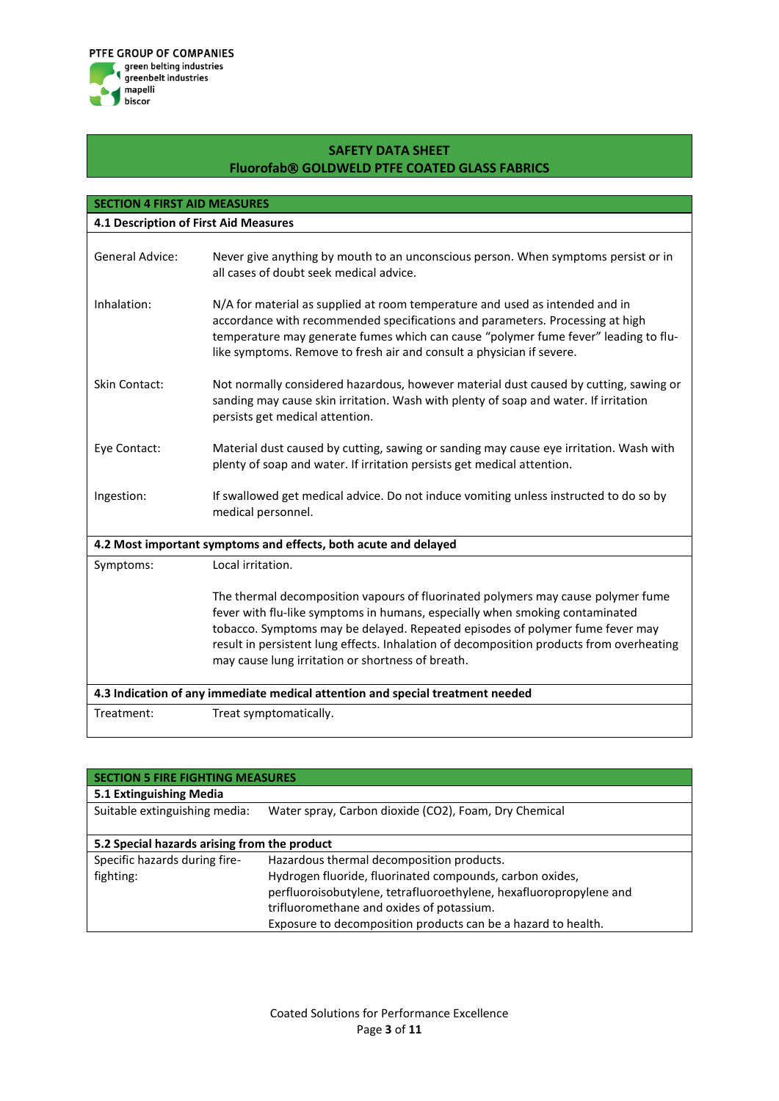

| <b>SECTION 4 FIRST AID MEASURES</b>   |                                                                                                                                                                                                                                                                                                                                                                                                    |
|---------------------------------------|----------------------------------------------------------------------------------------------------------------------------------------------------------------------------------------------------------------------------------------------------------------------------------------------------------------------------------------------------------------------------------------------------|
| 4.1 Description of First Aid Measures |                                                                                                                                                                                                                                                                                                                                                                                                    |
|                                       |                                                                                                                                                                                                                                                                                                                                                                                                    |
| <b>General Advice:</b>                | Never give anything by mouth to an unconscious person. When symptoms persist or in<br>all cases of doubt seek medical advice.                                                                                                                                                                                                                                                                      |
| Inhalation:                           | N/A for material as supplied at room temperature and used as intended and in<br>accordance with recommended specifications and parameters. Processing at high<br>temperature may generate fumes which can cause "polymer fume fever" leading to flu-<br>like symptoms. Remove to fresh air and consult a physician if severe.                                                                      |
| <b>Skin Contact:</b>                  | Not normally considered hazardous, however material dust caused by cutting, sawing or<br>sanding may cause skin irritation. Wash with plenty of soap and water. If irritation<br>persists get medical attention.                                                                                                                                                                                   |
| Eye Contact:                          | Material dust caused by cutting, sawing or sanding may cause eye irritation. Wash with<br>plenty of soap and water. If irritation persists get medical attention.                                                                                                                                                                                                                                  |
| Ingestion:                            | If swallowed get medical advice. Do not induce vomiting unless instructed to do so by<br>medical personnel.                                                                                                                                                                                                                                                                                        |
|                                       | 4.2 Most important symptoms and effects, both acute and delayed                                                                                                                                                                                                                                                                                                                                    |
| Symptoms:                             | Local irritation.                                                                                                                                                                                                                                                                                                                                                                                  |
|                                       | The thermal decomposition vapours of fluorinated polymers may cause polymer fume<br>fever with flu-like symptoms in humans, especially when smoking contaminated<br>tobacco. Symptoms may be delayed. Repeated episodes of polymer fume fever may<br>result in persistent lung effects. Inhalation of decomposition products from overheating<br>may cause lung irritation or shortness of breath. |
|                                       | 4.3 Indication of any immediate medical attention and special treatment needed                                                                                                                                                                                                                                                                                                                     |
| Treatment:                            | Treat symptomatically.                                                                                                                                                                                                                                                                                                                                                                             |

| <b>SECTION 5 FIRE FIGHTING MEASURES</b>      |                                                                    |  |  |  |
|----------------------------------------------|--------------------------------------------------------------------|--|--|--|
| 5.1 Extinguishing Media                      |                                                                    |  |  |  |
| Suitable extinguishing media:                | Water spray, Carbon dioxide (CO2), Foam, Dry Chemical              |  |  |  |
|                                              |                                                                    |  |  |  |
| 5.2 Special hazards arising from the product |                                                                    |  |  |  |
| Specific hazards during fire-                | Hazardous thermal decomposition products.                          |  |  |  |
| fighting:                                    | Hydrogen fluoride, fluorinated compounds, carbon oxides,           |  |  |  |
|                                              | perfluoroisobutylene, tetrafluoroethylene, hexafluoropropylene and |  |  |  |
|                                              | trifluoromethane and oxides of potassium.                          |  |  |  |
|                                              | Exposure to decomposition products can be a hazard to health.      |  |  |  |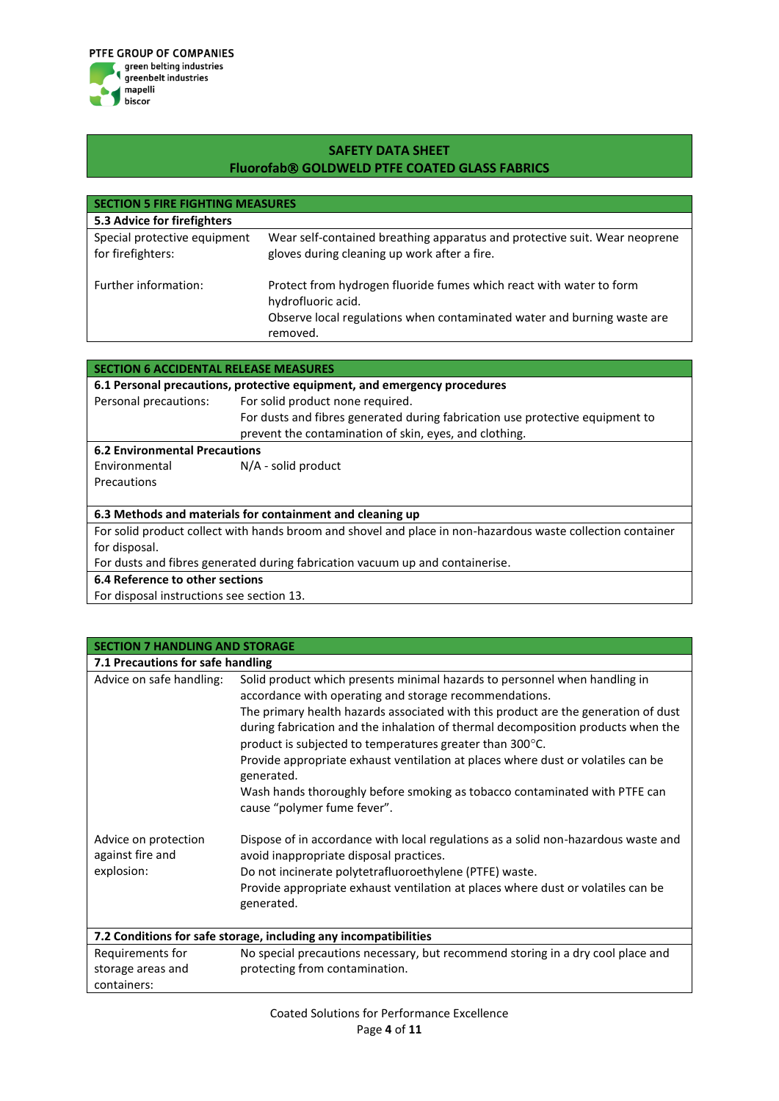

| <b>SECTION 5 FIRE FIGHTING MEASURES</b>           |                                                                                                                                                                                  |  |  |  |
|---------------------------------------------------|----------------------------------------------------------------------------------------------------------------------------------------------------------------------------------|--|--|--|
| 5.3 Advice for firefighters                       |                                                                                                                                                                                  |  |  |  |
| Special protective equipment<br>for firefighters: | Wear self-contained breathing apparatus and protective suit. Wear neoprene<br>gloves during cleaning up work after a fire.                                                       |  |  |  |
| Further information:                              | Protect from hydrogen fluoride fumes which react with water to form<br>hydrofluoric acid.<br>Observe local regulations when contaminated water and burning waste are<br>removed. |  |  |  |

| SECTION 6 ACCIDENTAL RELEASE MEASURES                                         |                                                                                                             |  |  |  |
|-------------------------------------------------------------------------------|-------------------------------------------------------------------------------------------------------------|--|--|--|
| 6.1 Personal precautions, protective equipment, and emergency procedures      |                                                                                                             |  |  |  |
| Personal precautions:                                                         | For solid product none required.                                                                            |  |  |  |
|                                                                               | For dusts and fibres generated during fabrication use protective equipment to                               |  |  |  |
|                                                                               | prevent the contamination of skin, eyes, and clothing.                                                      |  |  |  |
| <b>6.2 Environmental Precautions</b>                                          |                                                                                                             |  |  |  |
| Environmental                                                                 | $N/A$ - solid product                                                                                       |  |  |  |
| Precautions                                                                   |                                                                                                             |  |  |  |
|                                                                               |                                                                                                             |  |  |  |
| 6.3 Methods and materials for containment and cleaning up                     |                                                                                                             |  |  |  |
|                                                                               | For solid product collect with hands broom and shovel and place in non-hazardous waste collection container |  |  |  |
| for disposal.                                                                 |                                                                                                             |  |  |  |
| For dusts and fibres generated during fabrication vacuum up and containerise. |                                                                                                             |  |  |  |
| 6.4 Reference to other sections                                               |                                                                                                             |  |  |  |
| For disposal instructions see section 13.                                     |                                                                                                             |  |  |  |

For disposal instructions see section 13.

| <b>SECTION 7 HANDLING AND STORAGE</b>                            |                                                                                                                                                                                                                                                                                                                                                                                                                                                                                        |  |  |  |
|------------------------------------------------------------------|----------------------------------------------------------------------------------------------------------------------------------------------------------------------------------------------------------------------------------------------------------------------------------------------------------------------------------------------------------------------------------------------------------------------------------------------------------------------------------------|--|--|--|
| 7.1 Precautions for safe handling                                |                                                                                                                                                                                                                                                                                                                                                                                                                                                                                        |  |  |  |
| Advice on safe handling:                                         | Solid product which presents minimal hazards to personnel when handling in<br>accordance with operating and storage recommendations.<br>The primary health hazards associated with this product are the generation of dust<br>during fabrication and the inhalation of thermal decomposition products when the<br>product is subjected to temperatures greater than $300^{\circ}$ C.<br>Provide appropriate exhaust ventilation at places where dust or volatiles can be<br>generated. |  |  |  |
|                                                                  | Wash hands thoroughly before smoking as tobacco contaminated with PTFE can<br>cause "polymer fume fever".                                                                                                                                                                                                                                                                                                                                                                              |  |  |  |
| Advice on protection<br>against fire and                         | Dispose of in accordance with local regulations as a solid non-hazardous waste and<br>avoid inappropriate disposal practices.                                                                                                                                                                                                                                                                                                                                                          |  |  |  |
| explosion:                                                       | Do not incinerate polytetrafluoroethylene (PTFE) waste.                                                                                                                                                                                                                                                                                                                                                                                                                                |  |  |  |
|                                                                  | Provide appropriate exhaust ventilation at places where dust or volatiles can be<br>generated.                                                                                                                                                                                                                                                                                                                                                                                         |  |  |  |
| 7.2 Conditions for safe storage, including any incompatibilities |                                                                                                                                                                                                                                                                                                                                                                                                                                                                                        |  |  |  |
| Requirements for                                                 | No special precautions necessary, but recommend storing in a dry cool place and                                                                                                                                                                                                                                                                                                                                                                                                        |  |  |  |
| storage areas and                                                | protecting from contamination.                                                                                                                                                                                                                                                                                                                                                                                                                                                         |  |  |  |
| containers:                                                      |                                                                                                                                                                                                                                                                                                                                                                                                                                                                                        |  |  |  |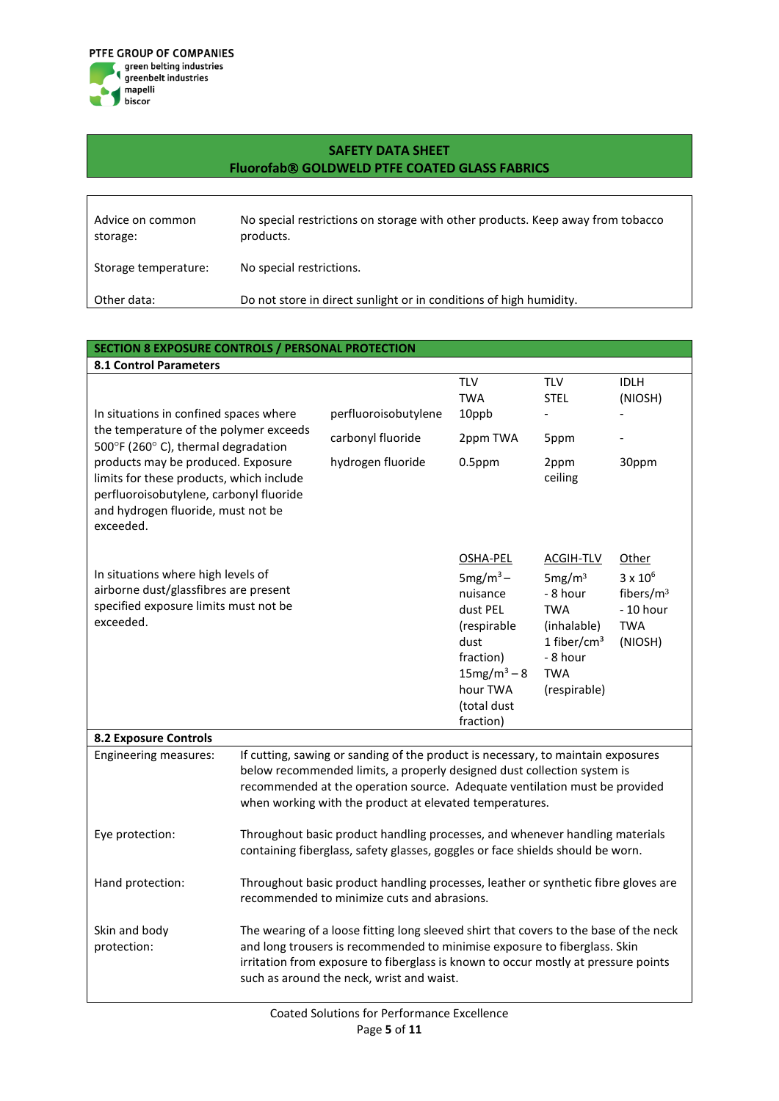

| Advice on common<br>storage: | No special restrictions on storage with other products. Keep away from tobacco<br>products. |
|------------------------------|---------------------------------------------------------------------------------------------|
| Storage temperature:         | No special restrictions.                                                                    |
| Other data:                  | Do not store in direct sunlight or in conditions of high humidity.                          |

#### **SECTION 8 EXPOSURE CONTROLS / PERSONAL PROTECTION**

| <b>8.1 Control Parameters</b>                                                                                                                                                                                      |                                                                                                                                                                                                                                                                                                       |                      |                                                                                                                                              |                                                                                                                                      |                                                                                          |
|--------------------------------------------------------------------------------------------------------------------------------------------------------------------------------------------------------------------|-------------------------------------------------------------------------------------------------------------------------------------------------------------------------------------------------------------------------------------------------------------------------------------------------------|----------------------|----------------------------------------------------------------------------------------------------------------------------------------------|--------------------------------------------------------------------------------------------------------------------------------------|------------------------------------------------------------------------------------------|
| In situations in confined spaces where                                                                                                                                                                             |                                                                                                                                                                                                                                                                                                       | perfluoroisobutylene | <b>TLV</b><br><b>TWA</b><br>10ppb                                                                                                            | <b>TLV</b><br><b>STEL</b>                                                                                                            | <b>IDLH</b><br>(NIOSH)                                                                   |
| the temperature of the polymer exceeds                                                                                                                                                                             |                                                                                                                                                                                                                                                                                                       | carbonyl fluoride    | 2ppm TWA                                                                                                                                     | 5ppm                                                                                                                                 |                                                                                          |
| 500°F (260°C), thermal degradation<br>products may be produced. Exposure<br>limits for these products, which include<br>perfluoroisobutylene, carbonyl fluoride<br>and hydrogen fluoride, must not be<br>exceeded. |                                                                                                                                                                                                                                                                                                       | hydrogen fluoride    | $0.5$ ppm                                                                                                                                    | 2ppm<br>ceiling                                                                                                                      | 30ppm                                                                                    |
| In situations where high levels of<br>airborne dust/glassfibres are present<br>specified exposure limits must not be<br>exceeded.                                                                                  |                                                                                                                                                                                                                                                                                                       |                      | OSHA-PEL<br>$5mg/m3$ –<br>nuisance<br>dust PEL<br>(respirable<br>dust<br>fraction)<br>$15mg/m^3 - 8$<br>hour TWA<br>(total dust<br>fraction) | ACGIH-TLV<br>5mg/m <sup>3</sup><br>- 8 hour<br><b>TWA</b><br>(inhalable)<br>1 fiber/ $cm3$<br>- 8 hour<br><b>TWA</b><br>(respirable) | Other<br>$3 \times 10^6$<br>fibers/m <sup>3</sup><br>$-10$ hour<br><b>TWA</b><br>(NIOSH) |
| <b>8.2 Exposure Controls</b>                                                                                                                                                                                       |                                                                                                                                                                                                                                                                                                       |                      |                                                                                                                                              |                                                                                                                                      |                                                                                          |
| <b>Engineering measures:</b>                                                                                                                                                                                       | If cutting, sawing or sanding of the product is necessary, to maintain exposures<br>below recommended limits, a properly designed dust collection system is<br>recommended at the operation source. Adequate ventilation must be provided<br>when working with the product at elevated temperatures.  |                      |                                                                                                                                              |                                                                                                                                      |                                                                                          |
| Eye protection:                                                                                                                                                                                                    | Throughout basic product handling processes, and whenever handling materials<br>containing fiberglass, safety glasses, goggles or face shields should be worn.                                                                                                                                        |                      |                                                                                                                                              |                                                                                                                                      |                                                                                          |
| Hand protection:                                                                                                                                                                                                   | Throughout basic product handling processes, leather or synthetic fibre gloves are<br>recommended to minimize cuts and abrasions.                                                                                                                                                                     |                      |                                                                                                                                              |                                                                                                                                      |                                                                                          |
| Skin and body<br>protection:                                                                                                                                                                                       | The wearing of a loose fitting long sleeved shirt that covers to the base of the neck<br>and long trousers is recommended to minimise exposure to fiberglass. Skin<br>irritation from exposure to fiberglass is known to occur mostly at pressure points<br>such as around the neck, wrist and waist. |                      |                                                                                                                                              |                                                                                                                                      |                                                                                          |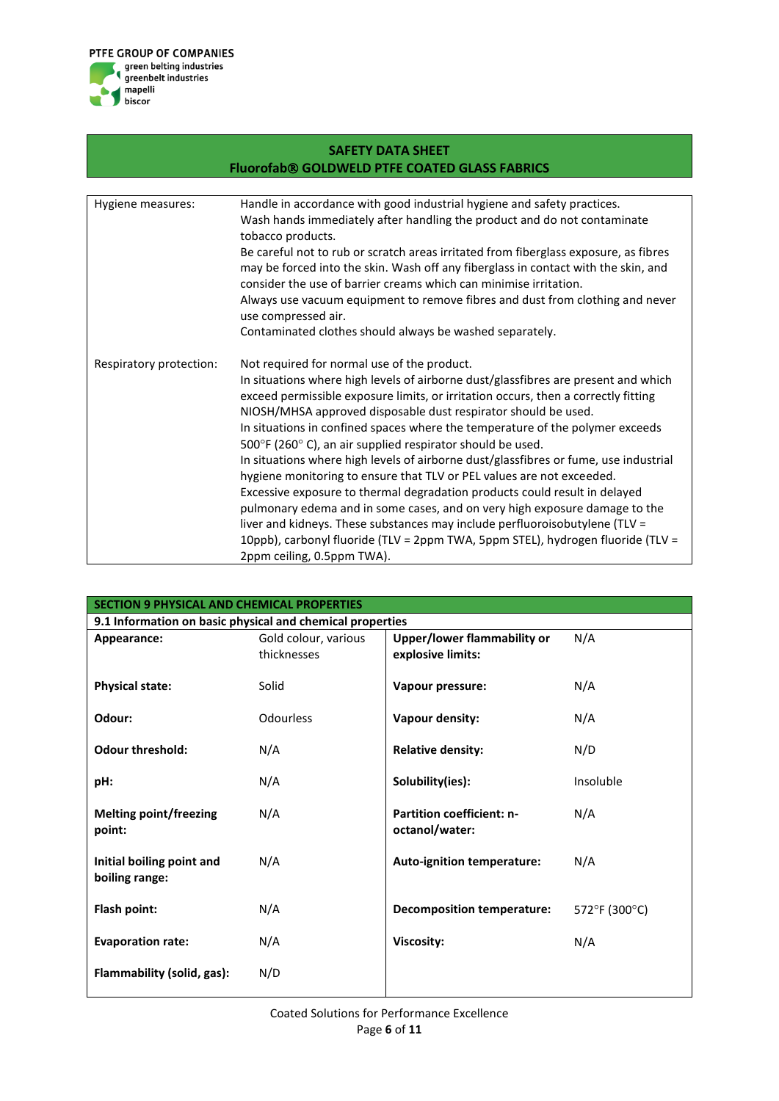

| <b>SAFETY DATA SHEET</b>                             |                                                                                                                                                                                                                                                                                                                                                                                                                                                                                                                                                                                                                                                                                                                                                                                                                                                                                                                                                                      |  |  |  |  |  |
|------------------------------------------------------|----------------------------------------------------------------------------------------------------------------------------------------------------------------------------------------------------------------------------------------------------------------------------------------------------------------------------------------------------------------------------------------------------------------------------------------------------------------------------------------------------------------------------------------------------------------------------------------------------------------------------------------------------------------------------------------------------------------------------------------------------------------------------------------------------------------------------------------------------------------------------------------------------------------------------------------------------------------------|--|--|--|--|--|
| <b>Fluorofab® GOLDWELD PTFE COATED GLASS FABRICS</b> |                                                                                                                                                                                                                                                                                                                                                                                                                                                                                                                                                                                                                                                                                                                                                                                                                                                                                                                                                                      |  |  |  |  |  |
|                                                      |                                                                                                                                                                                                                                                                                                                                                                                                                                                                                                                                                                                                                                                                                                                                                                                                                                                                                                                                                                      |  |  |  |  |  |
| Hygiene measures:                                    | Handle in accordance with good industrial hygiene and safety practices.<br>Wash hands immediately after handling the product and do not contaminate<br>tobacco products.                                                                                                                                                                                                                                                                                                                                                                                                                                                                                                                                                                                                                                                                                                                                                                                             |  |  |  |  |  |
|                                                      | Be careful not to rub or scratch areas irritated from fiberglass exposure, as fibres<br>may be forced into the skin. Wash off any fiberglass in contact with the skin, and<br>consider the use of barrier creams which can minimise irritation.                                                                                                                                                                                                                                                                                                                                                                                                                                                                                                                                                                                                                                                                                                                      |  |  |  |  |  |
|                                                      | Always use vacuum equipment to remove fibres and dust from clothing and never<br>use compressed air.                                                                                                                                                                                                                                                                                                                                                                                                                                                                                                                                                                                                                                                                                                                                                                                                                                                                 |  |  |  |  |  |
|                                                      | Contaminated clothes should always be washed separately.                                                                                                                                                                                                                                                                                                                                                                                                                                                                                                                                                                                                                                                                                                                                                                                                                                                                                                             |  |  |  |  |  |
| Respiratory protection:                              | Not required for normal use of the product.<br>In situations where high levels of airborne dust/glassfibres are present and which<br>exceed permissible exposure limits, or irritation occurs, then a correctly fitting<br>NIOSH/MHSA approved disposable dust respirator should be used.<br>In situations in confined spaces where the temperature of the polymer exceeds<br>500°F (260°C), an air supplied respirator should be used.<br>In situations where high levels of airborne dust/glassfibres or fume, use industrial<br>hygiene monitoring to ensure that TLV or PEL values are not exceeded.<br>Excessive exposure to thermal degradation products could result in delayed<br>pulmonary edema and in some cases, and on very high exposure damage to the<br>liver and kidneys. These substances may include perfluoroisobutylene (TLV =<br>10ppb), carbonyl fluoride (TLV = 2ppm TWA, 5ppm STEL), hydrogen fluoride (TLV =<br>2ppm ceiling, 0.5ppm TWA). |  |  |  |  |  |

| <b>SECTION 9 PHYSICAL AND CHEMICAL PROPERTIES</b> |                                                           |                                                    |               |  |  |  |
|---------------------------------------------------|-----------------------------------------------------------|----------------------------------------------------|---------------|--|--|--|
|                                                   | 9.1 Information on basic physical and chemical properties |                                                    |               |  |  |  |
| Appearance:                                       | Gold colour, various                                      | Upper/lower flammability or                        | N/A           |  |  |  |
|                                                   | thicknesses                                               | explosive limits:                                  |               |  |  |  |
| <b>Physical state:</b>                            | Solid                                                     | Vapour pressure:                                   | N/A           |  |  |  |
| Odour:                                            | Odourless                                                 | Vapour density:                                    | N/A           |  |  |  |
| <b>Odour threshold:</b>                           | N/A                                                       | <b>Relative density:</b>                           | N/D           |  |  |  |
| pH:                                               | N/A                                                       | Solubility(ies):                                   | Insoluble     |  |  |  |
| <b>Melting point/freezing</b><br>point:           | N/A                                                       | <b>Partition coefficient: n-</b><br>octanol/water: | N/A           |  |  |  |
| Initial boiling point and<br>boiling range:       | N/A                                                       | Auto-ignition temperature:                         | N/A           |  |  |  |
| Flash point:                                      | N/A                                                       | <b>Decomposition temperature:</b>                  | 572°F (300°C) |  |  |  |
| <b>Evaporation rate:</b>                          | N/A                                                       | Viscosity:                                         | N/A           |  |  |  |
| Flammability (solid, gas):                        | N/D                                                       |                                                    |               |  |  |  |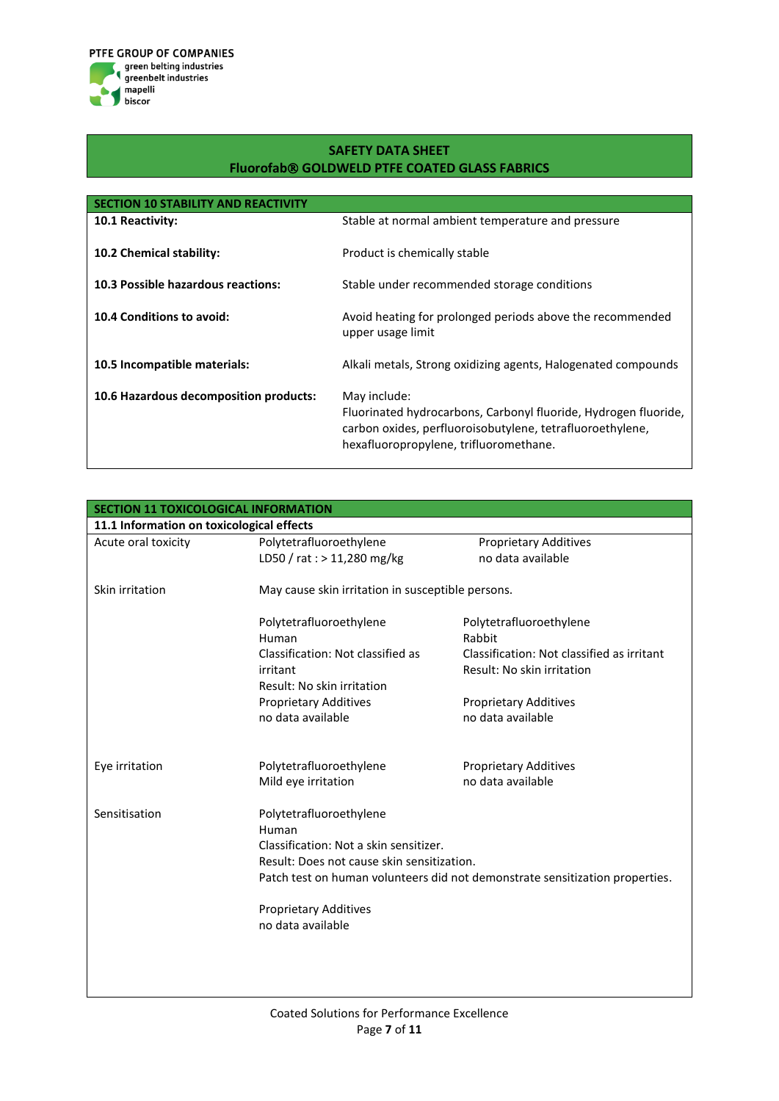

| <b>SECTION 10 STABILITY AND REACTIVITY</b> |                                                                                                                                                                                        |
|--------------------------------------------|----------------------------------------------------------------------------------------------------------------------------------------------------------------------------------------|
| <b>10.1 Reactivity:</b>                    | Stable at normal ambient temperature and pressure                                                                                                                                      |
| 10.2 Chemical stability:                   | Product is chemically stable                                                                                                                                                           |
| 10.3 Possible hazardous reactions:         | Stable under recommended storage conditions                                                                                                                                            |
| 10.4 Conditions to avoid:                  | Avoid heating for prolonged periods above the recommended<br>upper usage limit                                                                                                         |
| 10.5 Incompatible materials:               | Alkali metals, Strong oxidizing agents, Halogenated compounds                                                                                                                          |
| 10.6 Hazardous decomposition products:     | May include:<br>Fluorinated hydrocarbons, Carbonyl fluoride, Hydrogen fluoride,<br>carbon oxides, perfluoroisobutylene, tetrafluoroethylene,<br>hexafluoropropylene, trifluoromethane. |

| <b>SECTION 11 TOXICOLOGICAL INFORMATION</b> |                                                   |                                                                              |  |
|---------------------------------------------|---------------------------------------------------|------------------------------------------------------------------------------|--|
| 11.1 Information on toxicological effects   |                                                   |                                                                              |  |
| Acute oral toxicity                         | Polytetrafluoroethylene                           | <b>Proprietary Additives</b>                                                 |  |
|                                             | LD50 / rat : > 11,280 mg/kg                       | no data available                                                            |  |
| Skin irritation                             | May cause skin irritation in susceptible persons. |                                                                              |  |
|                                             | Polytetrafluoroethylene                           | Polytetrafluoroethylene                                                      |  |
|                                             | Human                                             | Rabbit                                                                       |  |
|                                             | Classification: Not classified as                 | Classification: Not classified as irritant                                   |  |
|                                             | irritant                                          | Result: No skin irritation                                                   |  |
|                                             | Result: No skin irritation                        |                                                                              |  |
|                                             | <b>Proprietary Additives</b>                      | <b>Proprietary Additives</b>                                                 |  |
|                                             | no data available                                 | no data available                                                            |  |
| Eye irritation                              | Polytetrafluoroethylene                           | <b>Proprietary Additives</b>                                                 |  |
|                                             | Mild eye irritation                               | no data available                                                            |  |
| Sensitisation                               | Polytetrafluoroethylene                           |                                                                              |  |
|                                             | Human                                             |                                                                              |  |
|                                             | Classification: Not a skin sensitizer.            |                                                                              |  |
|                                             | Result: Does not cause skin sensitization.        |                                                                              |  |
|                                             |                                                   | Patch test on human volunteers did not demonstrate sensitization properties. |  |
|                                             | <b>Proprietary Additives</b>                      |                                                                              |  |
|                                             | no data available                                 |                                                                              |  |
|                                             |                                                   |                                                                              |  |
|                                             |                                                   |                                                                              |  |
|                                             |                                                   |                                                                              |  |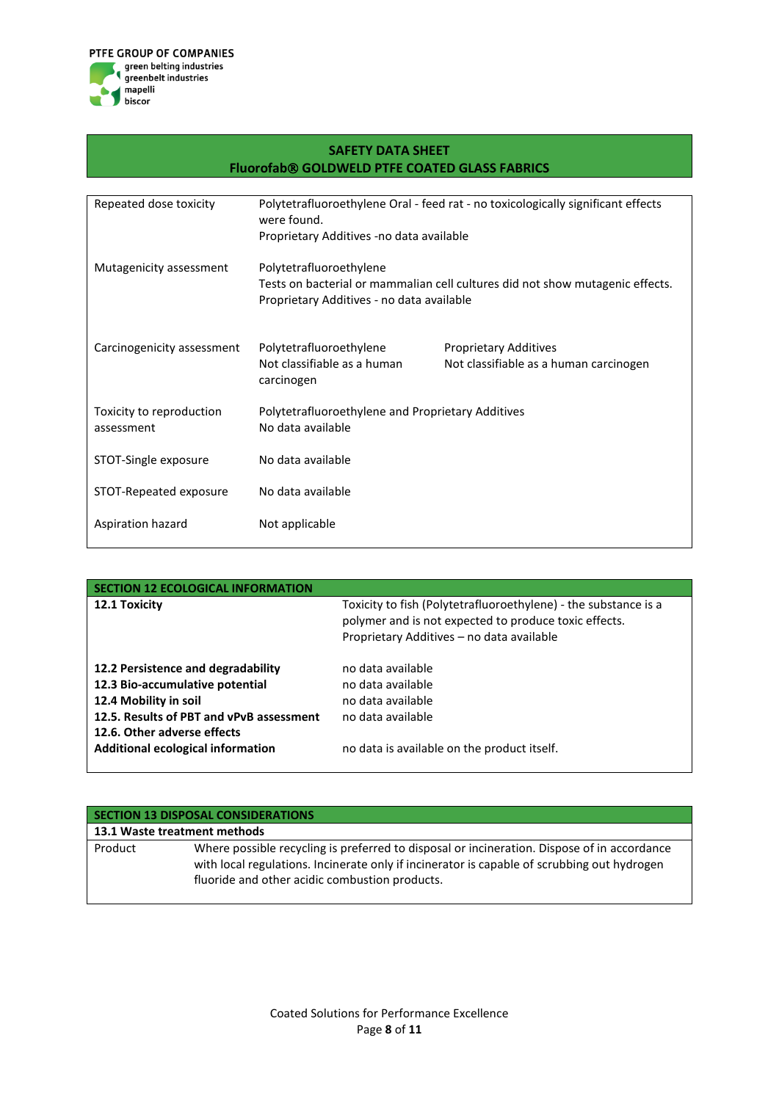

| <b>SAFETY DATA SHEET</b><br><b>Fluorofab® GOLDWELD PTFE COATED GLASS FABRICS</b> |                                                                                                 |                                                                               |  |
|----------------------------------------------------------------------------------|-------------------------------------------------------------------------------------------------|-------------------------------------------------------------------------------|--|
|                                                                                  |                                                                                                 |                                                                               |  |
| Repeated dose toxicity                                                           | Polytetrafluoroethylene Oral - feed rat - no toxicologically significant effects<br>were found. |                                                                               |  |
|                                                                                  | Proprietary Additives -no data available                                                        |                                                                               |  |
| Mutagenicity assessment                                                          | Polytetrafluoroethylene<br>Proprietary Additives - no data available                            | Tests on bacterial or mammalian cell cultures did not show mutagenic effects. |  |
| Carcinogenicity assessment                                                       | Polytetrafluoroethylene<br>Not classifiable as a human<br>carcinogen                            | <b>Proprietary Additives</b><br>Not classifiable as a human carcinogen        |  |
| Toxicity to reproduction<br>assessment                                           | Polytetrafluoroethylene and Proprietary Additives<br>No data available                          |                                                                               |  |
| STOT-Single exposure                                                             | No data available                                                                               |                                                                               |  |
| STOT-Repeated exposure                                                           | No data available                                                                               |                                                                               |  |
| Aspiration hazard                                                                | Not applicable                                                                                  |                                                                               |  |

| ON 12 ECOLOGICAL INFORMATION                                                                                                                                                                                          |                                                                                                                                                                       |
|-----------------------------------------------------------------------------------------------------------------------------------------------------------------------------------------------------------------------|-----------------------------------------------------------------------------------------------------------------------------------------------------------------------|
| 12.1 Toxicity                                                                                                                                                                                                         | Toxicity to fish (Polytetrafluoroethylene) - the substance is a<br>polymer and is not expected to produce toxic effects.<br>Proprietary Additives - no data available |
| 12.2 Persistence and degradability<br>12.3 Bio-accumulative potential<br>12.4 Mobility in soil<br>12.5. Results of PBT and vPvB assessment<br>12.6. Other adverse effects<br><b>Additional ecological information</b> | no data available<br>no data available<br>no data available<br>no data available<br>no data is available on the product itself.                                       |

|         | <b>SECTION 13 DISPOSAL CONSIDERATIONS</b>                                                                                                                                                                                                    |
|---------|----------------------------------------------------------------------------------------------------------------------------------------------------------------------------------------------------------------------------------------------|
|         | 13.1 Waste treatment methods                                                                                                                                                                                                                 |
| Product | Where possible recycling is preferred to disposal or incineration. Dispose of in accordance<br>with local regulations. Incinerate only if incinerator is capable of scrubbing out hydrogen<br>fluoride and other acidic combustion products. |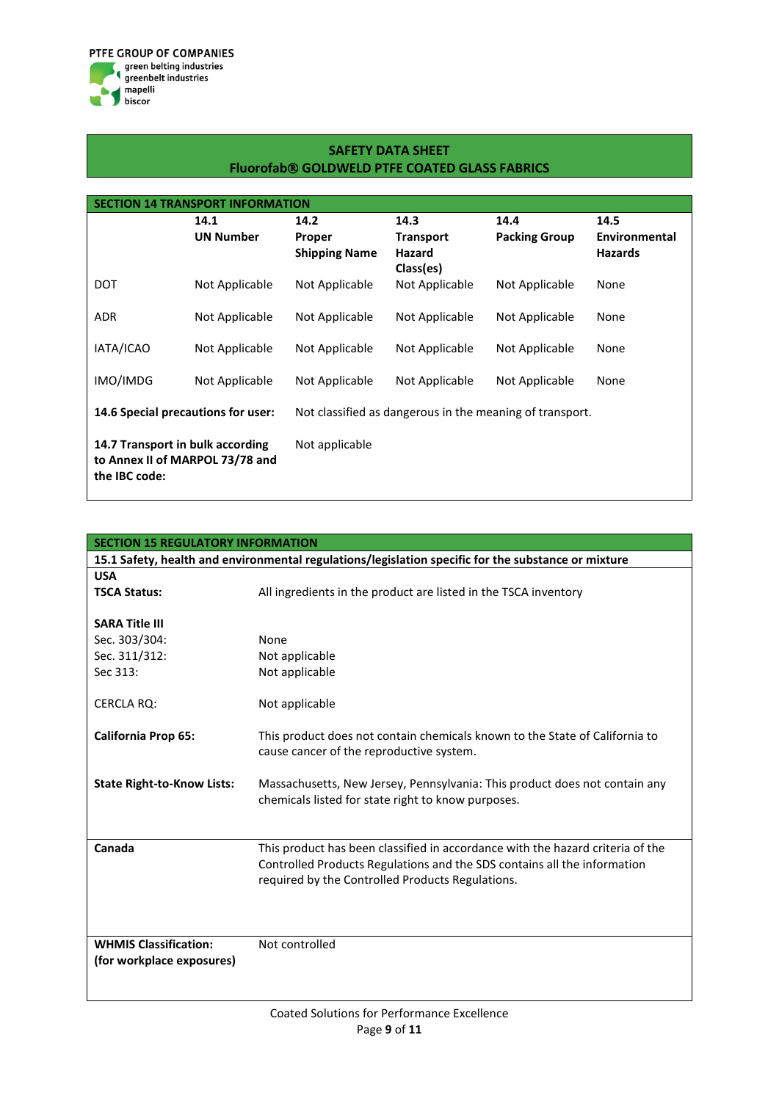

| <b>SECTION 14 TRANSPORT INFORMATION</b>                                              |                  |                                                          |                                         |                      |                                 |
|--------------------------------------------------------------------------------------|------------------|----------------------------------------------------------|-----------------------------------------|----------------------|---------------------------------|
|                                                                                      | 14.1             | 14.2                                                     | 14.3                                    | 14.4                 | 14.5                            |
|                                                                                      | <b>UN Number</b> | Proper<br><b>Shipping Name</b>                           | <b>Transport</b><br>Hazard<br>Class(es) | <b>Packing Group</b> | Environmental<br><b>Hazards</b> |
| DOT                                                                                  | Not Applicable   | Not Applicable                                           | Not Applicable                          | Not Applicable       | None                            |
| <b>ADR</b>                                                                           | Not Applicable   | Not Applicable                                           | Not Applicable                          | Not Applicable       | None                            |
| IATA/ICAO                                                                            | Not Applicable   | Not Applicable                                           | Not Applicable                          | Not Applicable       | None                            |
| IMO/IMDG                                                                             | Not Applicable   | Not Applicable                                           | Not Applicable                          | Not Applicable       | None                            |
| 14.6 Special precautions for user:                                                   |                  | Not classified as dangerous in the meaning of transport. |                                         |                      |                                 |
| 14.7 Transport in bulk according<br>to Annex II of MARPOL 73/78 and<br>the IBC code: |                  | Not applicable                                           |                                         |                      |                                 |

| <b>SECTION 15 REGULATORY INFORMATION</b>                                                            |                                                                                |  |  |
|-----------------------------------------------------------------------------------------------------|--------------------------------------------------------------------------------|--|--|
| 15.1 Safety, health and environmental regulations/legislation specific for the substance or mixture |                                                                                |  |  |
| <b>USA</b>                                                                                          |                                                                                |  |  |
| <b>TSCA Status:</b>                                                                                 | All ingredients in the product are listed in the TSCA inventory                |  |  |
|                                                                                                     |                                                                                |  |  |
| <b>SARA Title III</b>                                                                               |                                                                                |  |  |
| Sec. 303/304:                                                                                       | None                                                                           |  |  |
| Sec. 311/312:                                                                                       | Not applicable                                                                 |  |  |
| Sec 313:                                                                                            | Not applicable                                                                 |  |  |
|                                                                                                     |                                                                                |  |  |
| <b>CERCLA RQ:</b>                                                                                   | Not applicable                                                                 |  |  |
|                                                                                                     |                                                                                |  |  |
| <b>California Prop 65:</b>                                                                          | This product does not contain chemicals known to the State of California to    |  |  |
|                                                                                                     | cause cancer of the reproductive system.                                       |  |  |
| <b>State Right-to-Know Lists:</b>                                                                   | Massachusetts, New Jersey, Pennsylvania: This product does not contain any     |  |  |
|                                                                                                     | chemicals listed for state right to know purposes.                             |  |  |
|                                                                                                     |                                                                                |  |  |
|                                                                                                     |                                                                                |  |  |
| Canada                                                                                              | This product has been classified in accordance with the hazard criteria of the |  |  |
|                                                                                                     | Controlled Products Regulations and the SDS contains all the information       |  |  |
|                                                                                                     | required by the Controlled Products Regulations.                               |  |  |
|                                                                                                     |                                                                                |  |  |
|                                                                                                     |                                                                                |  |  |
|                                                                                                     |                                                                                |  |  |
| <b>WHMIS Classification:</b>                                                                        | Not controlled                                                                 |  |  |
| (for workplace exposures)                                                                           |                                                                                |  |  |
|                                                                                                     |                                                                                |  |  |
|                                                                                                     |                                                                                |  |  |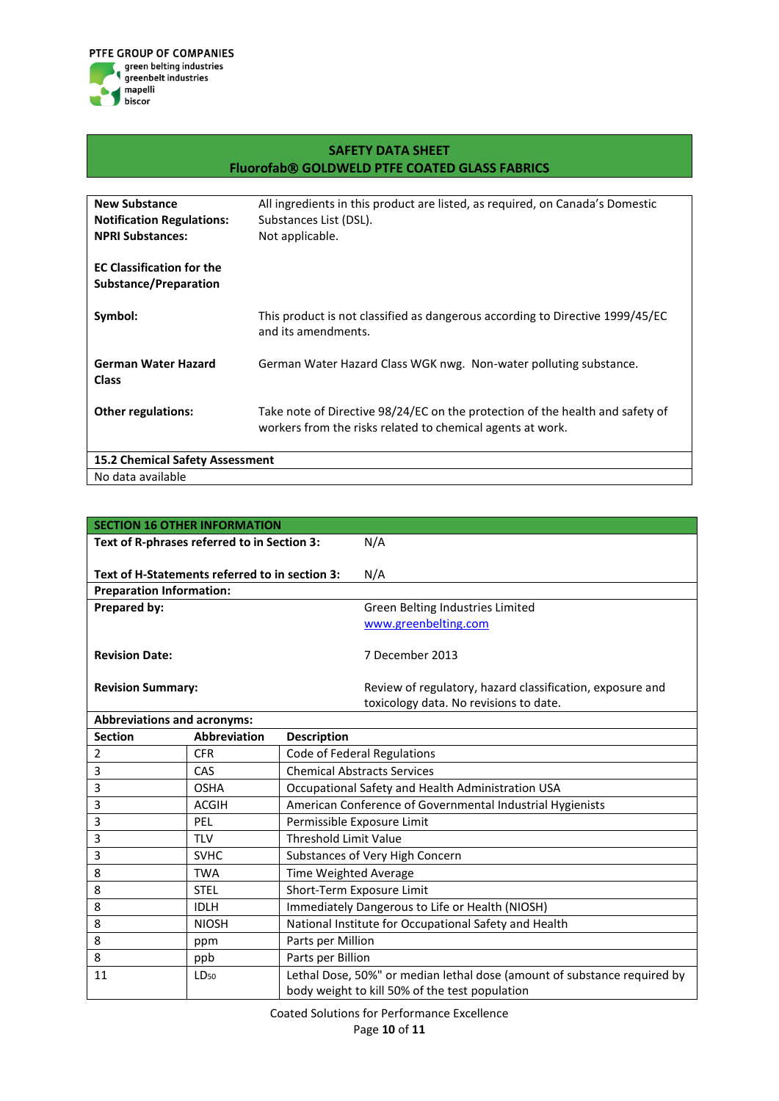

| <b>New Substance</b>                   | All ingredients in this product are listed, as required, on Canada's Domestic |
|----------------------------------------|-------------------------------------------------------------------------------|
| <b>Notification Regulations:</b>       | Substances List (DSL).                                                        |
| <b>NPRI Substances:</b>                | Not applicable.                                                               |
|                                        |                                                                               |
| <b>EC Classification for the</b>       |                                                                               |
| Substance/Preparation                  |                                                                               |
| Symbol:                                | This product is not classified as dangerous according to Directive 1999/45/EC |
|                                        | and its amendments.                                                           |
|                                        |                                                                               |
| German Water Hazard                    | German Water Hazard Class WGK nwg. Non-water polluting substance.             |
| <b>Class</b>                           |                                                                               |
|                                        |                                                                               |
| <b>Other regulations:</b>              | Take note of Directive 98/24/EC on the protection of the health and safety of |
|                                        | workers from the risks related to chemical agents at work.                    |
|                                        |                                                                               |
| <b>15.2 Chemical Safety Assessment</b> |                                                                               |
| No data available                      |                                                                               |

| <b>SECTION 16 OTHER INFORMATION</b>            |                     |                                                                          |                                                                                                     |
|------------------------------------------------|---------------------|--------------------------------------------------------------------------|-----------------------------------------------------------------------------------------------------|
| Text of R-phrases referred to in Section 3:    |                     |                                                                          | N/A                                                                                                 |
|                                                |                     |                                                                          |                                                                                                     |
| Text of H-Statements referred to in section 3: |                     |                                                                          | N/A                                                                                                 |
| <b>Preparation Information:</b>                |                     |                                                                          |                                                                                                     |
| Prepared by:                                   |                     |                                                                          | Green Belting Industries Limited                                                                    |
|                                                |                     |                                                                          | www.greenbelting.com                                                                                |
|                                                |                     |                                                                          |                                                                                                     |
| <b>Revision Date:</b>                          |                     |                                                                          | 7 December 2013                                                                                     |
|                                                |                     |                                                                          |                                                                                                     |
| <b>Revision Summary:</b>                       |                     |                                                                          | Review of regulatory, hazard classification, exposure and<br>toxicology data. No revisions to date. |
| <b>Abbreviations and acronyms:</b>             |                     |                                                                          |                                                                                                     |
| <b>Section</b>                                 | <b>Abbreviation</b> | <b>Description</b>                                                       |                                                                                                     |
| 2                                              | <b>CFR</b>          | <b>Code of Federal Regulations</b>                                       |                                                                                                     |
| 3                                              | CAS                 | <b>Chemical Abstracts Services</b>                                       |                                                                                                     |
| 3                                              | <b>OSHA</b>         | Occupational Safety and Health Administration USA                        |                                                                                                     |
| 3                                              | <b>ACGIH</b>        | American Conference of Governmental Industrial Hygienists                |                                                                                                     |
| 3                                              | PEL                 | Permissible Exposure Limit                                               |                                                                                                     |
| 3                                              | <b>TLV</b>          | <b>Threshold Limit Value</b>                                             |                                                                                                     |
| 3                                              | <b>SVHC</b>         | Substances of Very High Concern                                          |                                                                                                     |
| 8                                              | <b>TWA</b>          | Time Weighted Average                                                    |                                                                                                     |
| 8                                              | <b>STEL</b>         | Short-Term Exposure Limit                                                |                                                                                                     |
| 8                                              | <b>IDLH</b>         | Immediately Dangerous to Life or Health (NIOSH)                          |                                                                                                     |
| 8                                              | <b>NIOSH</b>        | National Institute for Occupational Safety and Health                    |                                                                                                     |
| 8                                              | ppm                 | Parts per Million                                                        |                                                                                                     |
| 8                                              | ppb                 | Parts per Billion                                                        |                                                                                                     |
| 11                                             | $LD_{50}$           | Lethal Dose, 50%" or median lethal dose (amount of substance required by |                                                                                                     |
|                                                |                     |                                                                          | body weight to kill 50% of the test population                                                      |

Coated Solutions for Performance Excellence Page **10** of **11**